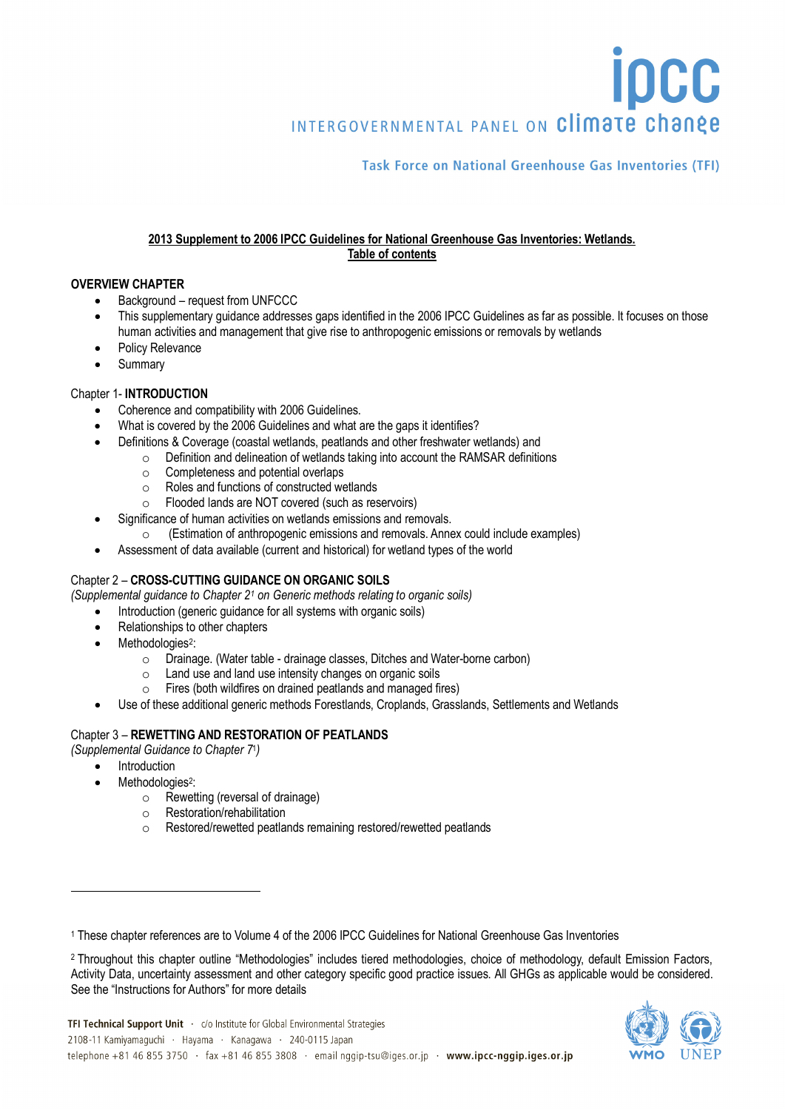INTERGOVERNMENTAL PANEL ON Climate change

# **Task Force on National Greenhouse Gas Inventories (TFI)**

**IDCC** 

#### **2013 Supplement to 2006 IPCC Guidelines for National Greenhouse Gas Inventories: Wetlands. Table of contents**

# **OVERVIEW CHAPTER**

- Background request from UNFCCC
- This supplementary guidance addresses gaps identified in the 2006 IPCC Guidelines as far as possible. It focuses on those human activities and management that give rise to anthropogenic emissions or removals by wetlands
- Policy Relevance
- **Summary**

# Chapter 1- **INTRODUCTION**

- Coherence and compatibility with 2006 Guidelines.
- What is covered by the 2006 Guidelines and what are the gaps it identifies?
- Definitions & Coverage (coastal wetlands, peatlands and other freshwater wetlands) and
	- Definition and delineation of wetlands taking into account the RAMSAR definitions <br>○ Completeness and potential overlaps
		- Completeness and potential overlaps<br>○ Roles and functions of constructed we
		- Roles and functions of constructed wetlands<br>○ Flooded lands are NOT covered (such as res
		- Flooded lands are NOT covered (such as reservoirs)
- Significance of human activities on wetlands emissions and removals.
	- o (Estimation of anthropogenic emissions and removals. Annex could include examples)
- Assessment of data available (current and historical) for wetland types of the world

# Chapter 2 – **CROSS-CUTTING GUIDANCE ON ORGANIC SOILS**

- *(Supplemental guidance to Chapter 2[1](#page-0-0) on Generic methods relating to organic soils)*
	- Introduction (generic guidance for all systems with organic soils)
	- Relationships to other chapters
	- Methodologies<sup>[2](#page-0-1)</sup>:
		- $\circ$  Drainage. (Water table drainage classes, Ditches and Water-borne carbon)<br> $\circ$  Land use and land use intensity changes on organic soils
		- $\circ$  Land use and land use intensity changes on organic soils<br> $\circ$  Fires (both wildfires on drained neatlands and managed fi
		- Fires (both wildfires on drained peatlands and managed fires)
	- Use of these additional generic methods Forestlands, Croplands, Grasslands, Settlements and Wetlands

# Chapter 3 – **REWETTING AND RESTORATION OF PEATLANDS**

*(Supplemental Guidance to Chapter 7*1*)*

**Introduction** 

 $\overline{a}$ 

- Methodologies<sup>2</sup>:
	- $\circ$  Rewetting (reversal of drainage)<br>  $\circ$  Restoration/rehabilitation
	- Restoration/rehabilitation
	- o Restored/rewetted peatlands remaining restored/rewetted peatlands

<span id="page-0-1"></span><span id="page-0-0"></span>

<sup>2</sup> Throughout this chapter outline "Methodologies" includes tiered methodologies, choice of methodology, default Emission Factors, Activity Data, uncertainty assessment and other category specific good practice issues. All GHGs as applicable would be considered. See the "Instructions for Authors" for more details